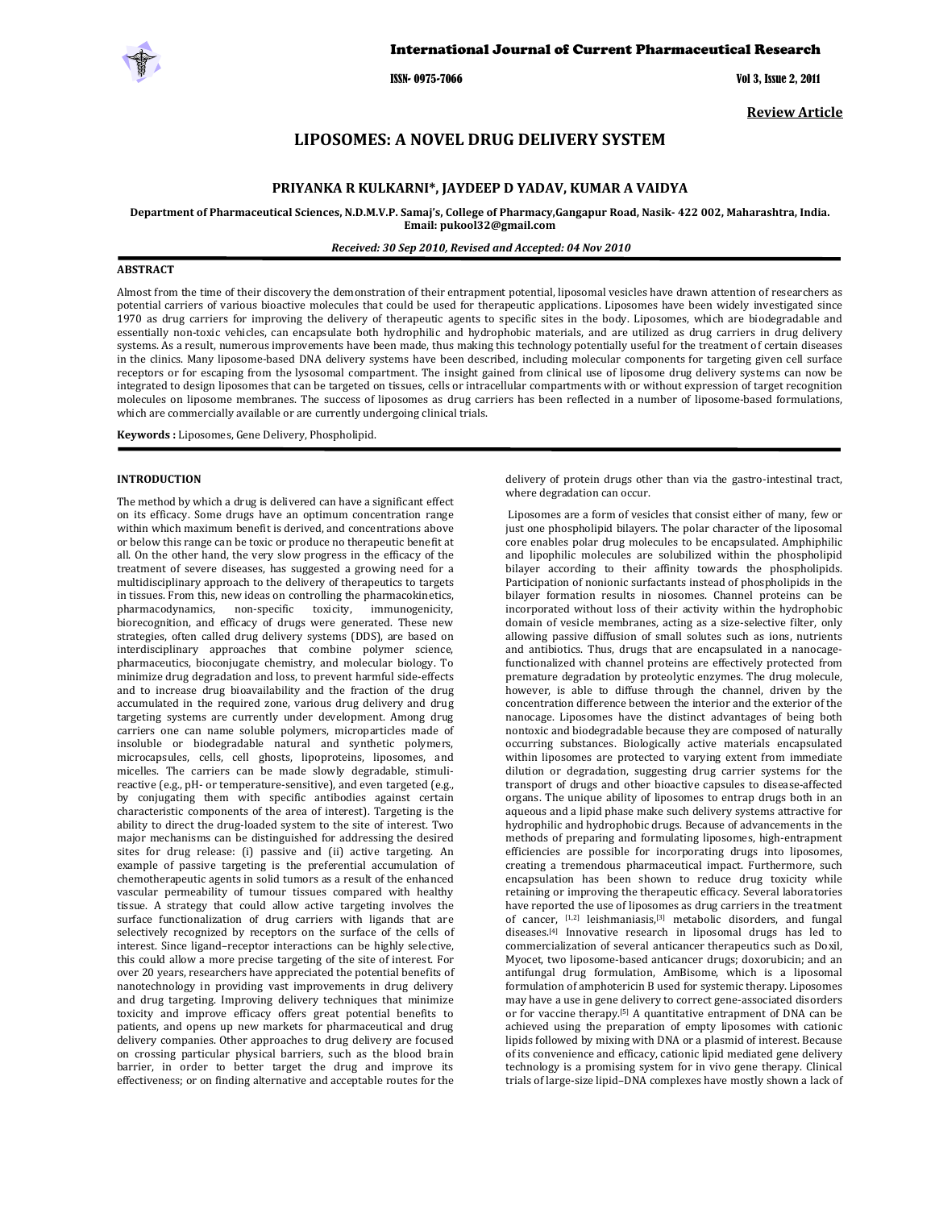### International Journal of Current Pharmaceutical Research

ISSN- 0975-7066 Vol 3, Issue 2, 2011

**Review Article**

# **LIPOSOMES: A NOVEL DRUG DELIVERY SYSTEM**

### **PRIYANKA R KULKARNI\*, JAYDEEP D YADAV, KUMAR A VAIDYA**

Department of Pharmaceutical Sciences, N.D.M.V.P. Samaj's, College of Pharmacy, Gangapur Road, Nasik- 422 002, Maharashtra, India. **Email: pukool32@gmail.com**

#### *Received: 30 Sep 2010, Revised and Accepted: 04 Nov 2010*

### **ABSTRACT**

Almost from the time of their discovery the demonstration of their entrapment potential, liposomal vesicles have drawn attention of researchers as potential carriers of various bioactive molecules that could be used for therapeutic applications. Liposomes have been widely investigated since 1970 as drug carriers for improving the delivery of therapeutic agents to specific sites in the body. Liposomes, which are biodegradable and essentially non-toxic vehicles, can encapsulate both hydrophilic and hydrophobic materials, and are utilized as drug carriers in drug delivery systems. As a result, numerous improvements have been made, thus making this technology potentially useful for the treatment of certain diseases in the clinics. Many liposome‐based DNA delivery systems have been described, including molecular components for targeting given cell surface receptors or for escaping from the lysosomal compartment. The insight gained from clinical use of liposome drug delivery systems can now be integrated to design liposomes that can be targeted on tissues, cells or intracellular compartments with or without expression of target recognition molecules on liposome membranes. The success of liposomes as drug carriers has been reflected in a number of liposome-based formulations, which are commercially available or are currently undergoing clinical trials.

**Keywords :** Liposomes, Gene Delivery, Phospholipid.

### **INTRODUCTION**

The method by which a drug is delivered can have a significant effect on its efficacy. Some drugs have an optimum concentration range within which maximum benefit is derived, and concentrations above or below this range can be toxic or produce no therapeutic benefit at all. On the other hand, the very slow progress in the efficacy of the treatment of severe diseases, has suggested a growing need for a multidisciplinary approach to the delivery of therapeutics to targets in tissues. From this, new ideas on controlling the pharmacokinetics, pharmacodynamics, non‐specific toxicity, immunogenicity, biorecognition, and efficacy of drugs were generated. These new strategies, often called drug delivery systems (DDS), are based on interdisciplinary approaches that combine polymer science, pharmaceutics, bioconjugate chemistry, and molecular biology. To minimize drug degradation and loss, to prevent harmful side‐effects and to increase drug bioavailability and the fraction of the drug accumulated in the required zone, various drug delivery and drug targeting systems are currently under development. Among drug carriers one can name soluble polymers, microparticles made of insoluble or biodegradable natural and synthetic polymers, microcapsules, cells, cell ghosts, lipoproteins, liposomes, and micelles. The carriers can be made slowly degradable, stimuli‐ reactive (e.g., pH‐ or temperature‐sensitive), and even targeted (e.g., by conjugating them with specific antibodies against certain characteristic components of the area of interest). Targeting is the ability to direct the drug‐loaded system to the site of interest. Two major mechanisms can be distinguished for addressing the desired sites for drug release: (i) passive and (ii) active targeting. An example of passive targeting is the preferential accumulation of chemotherapeutic agents in solid tumors as a result of the enhanced vascular permeability of tumour tissues compared with healthy tissue. A strategy that could allow active targeting involves the surface functionalization of drug carriers with ligands that are selectively recognized by receptors on the surface of the cells of interest. Since ligand–receptor interactions can be highly selective, this could allow a more precise targeting of the site of interest. For over 20 years, researchers have appreciated the potential benefits of nanotechnology in providing vast improvements in drug delivery and drug targeting. Improving delivery techniques that minimize toxicity and improve efficacy offers great potential benefits to patients, and opens up new markets for pharmaceutical and drug delivery companies. Other approaches to drug delivery are focused on crossing particular physical barriers, such as the blood brain barrier, in order to better target the drug and improve its effectiveness; or on finding alternative and acceptable routes for the

delivery of protein drugs other than via the gastro‐intestinal tract, where degradation can occur.

 Liposomes are a form of vesicles that consist either of many, few or just one phospholipid bilayers. The polar character of the liposomal core enables polar drug molecules to be encapsulated. Amphiphilic and lipophilic molecules are solubilized within the phospholipid bilayer according to their affinity towards the phospholipids. Participation of nonionic surfactants instead of phospholipids in the bilayer formation results in niosomes. Channel proteins can be incorporated without loss of their activity within the hydrophobic domain of vesicle membranes, acting as a size‐selective filter, only allowing passive diffusion of small solutes such as ions, nutrients and antibiotics. Thus, drugs that are encapsulated in a nanocage‐ functionalized with channel proteins are effectively protected from premature degradation by proteolytic enzymes. The drug molecule, however, is able to diffuse through the channel, driven by the concentration difference between the interior and the exterior of the nanocage. Liposomes have the distinct advantages of being both nontoxic and biodegradable because they are composed of naturally occurring substances. Biologically active materials encapsulated within liposomes are protected to varying extent from immediate dilution or degradation, suggesting drug carrier systems for the transport of drugs and other bioactive capsules to disease‐affected organs. The unique ability of liposomes to entrap drugs both in an aqueous and a lipid phase make such delivery systems attractive for hydrophilic and hydrophobic drugs. Because of advancements in the methods of preparing and formulating liposomes, high‐entrapment efficiencies are possible for incorporating drugs into liposomes, creating a tremendous pharmaceutical impact. Furthermore, such encapsulation has been shown to reduce drug toxicity while retaining or improving the therapeutic efficacy. Several laboratories have reported the use of liposomes as drug carriers in the treatment of cancer, [1,2] leishmaniasis,[3] metabolic disorders, and fungal diseases.[4] Innovative research in liposomal drugs has led to commercialization of several anticancer therapeutics such as Doxil, Myocet, two liposome‐based anticancer drugs; doxorubicin; and an antifungal drug formulation, AmBisome, which is a liposomal formulation of amphotericin B used for systemic therapy. Liposomes may have a use in gene delivery to correct gene‐associated disorders or for vaccine therapy.[5] A quantitative entrapment of DNA can be achieved using the preparation of empty liposomes with cationic lipids followed by mixing with DNA or a plasmid of interest. Because of its convenience and efficacy, cationic lipid mediated gene delivery technology is a promising system for in vivo gene therapy. Clinical trials of large‐size lipid–DNA complexes have mostly shown a lack of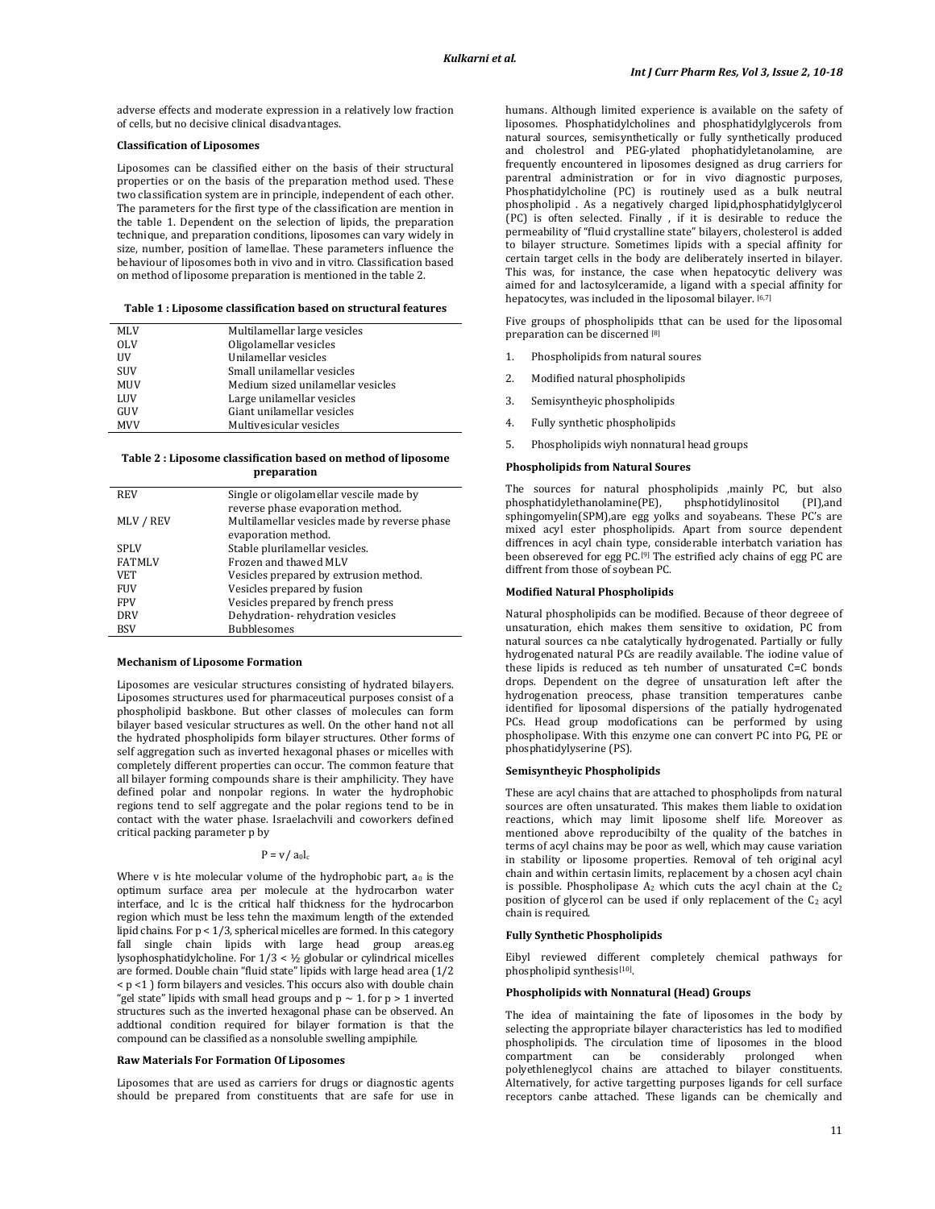adverse effects and moderate expression in a relatively low fraction of cells, but no decisive clinical disadvantages.

### **Classification of Liposomes**

Liposomes can be classified either on the basis of their structural properties or on the basis of the preparation method used. These two classification system are in principle, independent of each other. The parameters for the first type of the classification are mention in the table 1. Dependent on the selection of lipids, the preparation technique, and preparation conditions, liposomes can vary widely in size, number, position of lamellae. These parameters influence the behaviour of liposomes both in vivo and in vitro. Classification based on method of liposome preparation is mentioned in the table 2.

| Table 1 : Liposome classification based on structural features |  |
|----------------------------------------------------------------|--|
|----------------------------------------------------------------|--|

| MLV        | Multilamellar large vesicles      |
|------------|-----------------------------------|
| <b>OLV</b> | Oligolamellar vesicles            |
| UV         | Unilamellar vesicles              |
| <b>SUV</b> | Small unilamellar vesicles        |
| MUV        | Medium sized unilamellar vesicles |
| LUV        | Large unilamellar vesicles        |
| GUV        | Giant unilamellar vesicles        |
| <b>MVV</b> | Multivesicular vesicles           |

#### **Table 2 : Liposome classification based on method of liposome preparation**

| <b>REV</b>    | Single or oligolamellar vescile made by      |
|---------------|----------------------------------------------|
|               | reverse phase evaporation method.            |
| MLV / REV     | Multilamellar vesicles made by reverse phase |
|               | evaporation method.                          |
| <b>SPLV</b>   | Stable plurilamellar vesicles.               |
| <b>FATMLV</b> | Frozen and thawed MLV                        |
| <b>VET</b>    | Vesicles prepared by extrusion method.       |
| <b>FUV</b>    | Vesicles prepared by fusion                  |
| <b>FPV</b>    | Vesicles prepared by french press            |
| <b>DRV</b>    | Dehydration-rehydration vesicles             |
| BSV           | <b>Bubblesomes</b>                           |

#### **Mechanism of Liposome Formation**

Liposomes are vesicular structures consisting of hydrated bilayers. Liposomes structures used for pharmaceutical purposes consist of a phospholipid baskbone. But other classes of molecules can form bilayer based vesicular structures as well. On the other hand not all the hydrated phospholipids form bilayer structures. Other forms of self aggregation such as inverted hexagonal phases or micelles with completely different properties can occur. The common feature that all bilayer forming compounds share is their amphilicity. They have defined polar and nonpolar regions. In water the hydrophobic regions tend to self aggregate and the polar regions tend to be in contact with the water phase. Israelachvili and coworkers defined critical packing parameter p by

### $P = v/a_0l_c$

Where  $v$  is hte molecular volume of the hydrophobic part,  $a_0$  is the optimum surface area per molecule at the hydrocarbon water interface, and lc is the critical half thickness for the hydrocarbon region which must be less tehn the maximum length of the extended lipid chains. For  $p < 1/3$ , spherical micelles are formed. In this category fall single chain lipids with large head group areas.eg lysophosphatidylcholine. For 1/3 < ½ globular or cylindrical micelles are formed. Double chain "fluid state" lipids with large head area (1/2 < p <1 ) form bilayers and vesicles. This occurs also with double chain "gel state" lipids with small head groups and  $p \sim 1$ . for  $p > 1$  inverted structures such as the inverted hexagonal phase can be observed. An addtional condition required for bilayer formation is that the compound can be classified as a nonsoluble swelling ampiphile.

### **Raw Materials For Formation Of Liposomes**

Liposomes that are used as carriers for drugs or diagnostic agents should be prepared from constituents that are safe for use in

humans. Although limited experience is available on the safety of liposomes. Phosphatidylcholines and phosphatidylglycerols from natural sources, semisynthetically or fully synthetically produced and cholestrol and PEG‐ylated phophatidyletanolamine, are frequently encountered in liposomes designed as drug carriers for parentral administration or for in vivo diagnostic purposes, Phosphatidylcholine (PC) is routinely used as a bulk neutral phospholipid . As a negatively charged lipid,phosphatidylglycerol (PC) is often selected. Finally , if it is desirable to reduce the permeability of "fluid crystalline state" bilayers, cholesterol is added to bilayer structure. Sometimes lipids with a special affinity for certain target cells in the body are deliberately inserted in bilayer. This was, for instance, the case when hepatocytic delivery was aimed for and lactosylceramide, a ligand with a special affinity for hepatocytes, was included in the liposomal bilayer. [6,7]

Five groups of phospholipids tthat can be used for the liposomal preparation can be discerned [8]

- 1. Phospholipids from natural soures
- 2. Modified natural phospholipids
- 3. Semisyntheyic phospholipids
- 4. Fully synthetic phospholipids
- 5. Phospholipids wiyh nonnatural head groups

#### **Phospholipids from Natural Soures**

The sources for natural phospholipids , mainly PC, but also phosphatidylethanolamine(PE), phsphotidylinositol (PI),and sphingomyelin(SPM),are egg yolks and soyabeans. These PC's are mixed acyl ester phospholipids. Apart from source dependent diffrences in acyl chain type, considerable interbatch variation has been obsereved for egg PC.[9] The estrified acly chains of egg PC are diffrent from those of soybean PC.

#### **Modified Natural Phospholipids**

Natural phospholipids can be modified. Because of theor degreee of unsaturation, ehich makes them sensitive to oxidation, PC from natural sources ca nbe catalytically hydrogenated. Partially or fully hydrogenated natural PCs are readily available. The iodine value of these lipids is reduced as teh number of unsaturated C=C bonds drops. Dependent on the degree of unsaturation left after the hydrogenation preocess, phase transition temperatures canbe identified for liposomal dispersions of the patially hydrogenated PCs. Head group modofications can be performed by using phospholipase. With this enzyme one can convert PC into PG, PE or phosphatidylyserine (PS).

### **Semisyntheyic Phospholipids**

These are acyl chains that are attached to phospholipds from natural sources are often unsaturated. This makes them liable to oxidation reactions, which may limit liposome shelf life. Moreover as mentioned above reproducibilty of the quality of the batches in terms of acyl chains may be poor as well, which may cause variation in stability or liposome properties. Removal of teh original acyl chain and within certasin limits, replacement by a chosen acyl chain is possible. Phospholipase  $A_2$  which cuts the acyl chain at the  $C_2$ position of glycerol can be used if only replacement of the  $C_2$  acyl chain is required.

#### **Fully Synthetic Phospholipids**

Eibyl reviewed different completely chemical pathways for phospholipid synthesis[10].

#### **Phospholipids with Nonnatural (Head) Groups**

The idea of maintaining the fate of liposomes in the body by selecting the appropriate bilayer characteristics has led to modified phospholipids. The circulation time of liposomes in the blood compartment can be considerably prolonged when polyethleneglycol chains are attached to bilayer constituents. Alternatively, for active targetting purposes ligands for cell surface receptors canbe attached. These ligands can be chemically and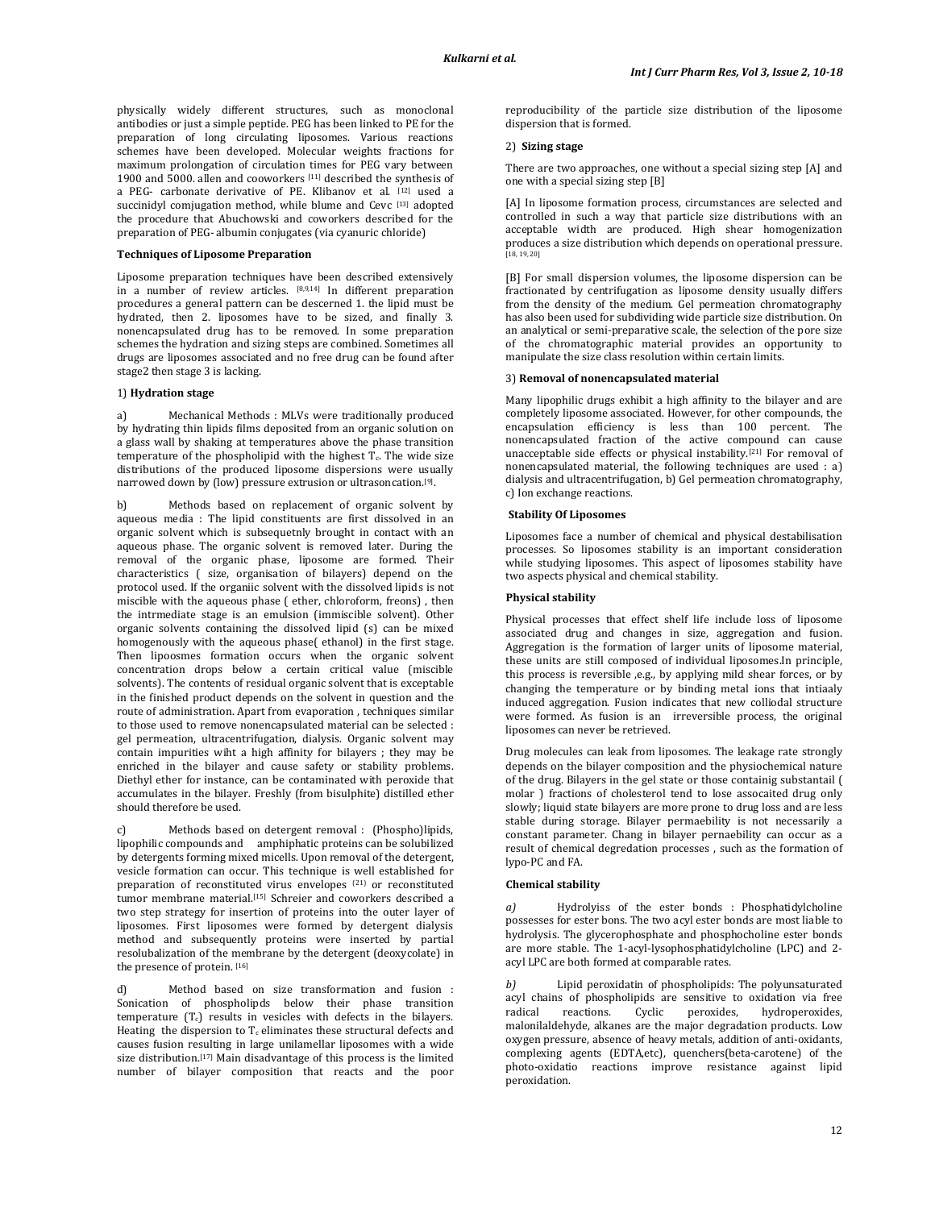physically widely different structures, such as monoclonal antibodies or just a simple peptide. PEG has been linked to PE for the preparation of long circulating liposomes. Various reactions schemes have been developed. Molecular weights fractions for maximum prolongation of circulation times for PEG vary between 1900 and 5000. allen and cooworkers [11] described the synthesis of a PEG‐ carbonate derivative of PE. Klibanov et al. [12] used a succinidyl comjugation method, while blume and Cevc [13] adopted the procedure that Abuchowski and coworkers described for the preparation of PEG‐ albumin conjugates (via cyanuric chloride)

### **Techniques of Liposome Preparation**

Liposome preparation techniques have been described extensively in a number of review articles. [8,9,14] In different preparation procedures a general pattern can be descerned 1. the lipid must be hydrated, then 2. liposomes have to be sized, and finally 3. nonencapsulated drug has to be removed. In some preparation schemes the hydration and sizing steps are combined. Sometimes all drugs are liposomes associated and no free drug can be found after stage2 then stage 3 is lacking.

### 1) **Hydration stage**

a) Mechanical Methods : MLVs were traditionally produced by hydrating thin lipids films deposited from an organic solution on a glass wall by shaking at temperatures above the phase transition temperature of the phospholipid with the highest  $T_c$ . The wide size distributions of the produced liposome dispersions were usually narrowed down by (low) pressure extrusion or ultrasoncation.[9].

b) Methods based on replacement of organic solvent by aqueous media : The lipid constituents are first dissolved in an organic solvent which is subsequetnly brought in contact with an aqueous phase. The organic solvent is removed later. During the removal of the organic phase, liposome are formed. Their characteristics ( size, organisation of bilayers) depend on the protocol used. If the organiic solvent with the dissolved lipids is not miscible with the aqueous phase (ether, chloroform, freons), then the intrmediate stage is an emulsion (immiscible solvent). Other organic solvents containing the dissolved lipid (s) can be mixed homogenously with the aqueous phase( ethanol) in the first stage. Then lipoosmes formation occurs when the organic solvent concentration drops below a certain critical value (miscible solvents). The contents of residual organic solvent that is exceptable in the finished product depends on the solvent in question and the route of administration. Apart from evaporation , techniques similar to those used to remove nonencapsulated material can be selected : gel permeation, ultracentrifugation, dialysis. Organic solvent may contain impurities wiht a high affinity for bilayers ; they may be enriched in the bilayer and cause safety or stability problems. Diethyl ether for instance, can be contaminated with peroxide that accumulates in the bilayer. Freshly (from bisulphite) distilled ether should therefore be used.

c) Methods based on detergent removal : (Phospho)lipids, lipophilic compounds and amphiphatic proteins can be solubilized by detergents forming mixed micells. Upon removal of the detergent, vesicle formation can occur. This technique is well established for preparation of reconstituted virus envelopes (21) or reconstituted tumor membrane material.<sup>[15]</sup> Schreier and coworkers described a two step strategy for insertion of proteins into the outer layer of liposomes. First liposomes were formed by detergent dialysis method and subsequently proteins were inserted by partial resolubalization of the membrane by the detergent (deoxycolate) in the presence of protein. [16]

Method based on size transformation and fusion : Sonication of phospholipds below their phase transition temperature  $(T_c)$  results in vesicles with defects in the bilayers. Heating the dispersion to  $T_c$  eliminates these structural defects and causes fusion resulting in large unilamellar liposomes with a wide size distribution.<sup>[17]</sup> Main disadvantage of this process is the limited number of bilayer composition that reacts and the poor

reproducibility of the particle size distribution of the liposome dispersion that is formed.

### 2) **Sizing stage**

There are two approaches, one without a special sizing step [A] and one with a special sizing step [B]

[A] In liposome formation process, circumstances are selected and controlled in such a way that particle size distributions with an acceptable width are produced. High shear homogenization produces a size distribution which depends on operational pressure. [18, 19, 20]

[B] For small dispersion volumes, the liposome dispersion can be fractionated by centrifugation as liposome density usually differs from the density of the medium. Gel permeation chromatography has also been used for subdividing wide particle size distribution. On an analytical or semi‐preparative scale, the selection of the pore size of the chromatographic material provides an opportunity to manipulate the size class resolution within certain limits.

### 3) **Removal of nonencapsulated material**

Many lipophilic drugs exhibit a high affinity to the bilayer and are completely liposome associated. However, for other compounds, the encapsulation efficiency is less than 100 percent. The nonencapsulated fraction of the active compound can cause unacceptable side effects or physical instability.[21] For removal of nonencapsulated material, the following techniques are used : a) dialysis and ultracentrifugation, b) Gel permeation chromatography, c) Ion exchange reactions.

#### **Stability Of Liposomes**

Liposomes face a number of chemical and physical destabilisation processes. So liposomes stability is an important consideration while studying liposomes. This aspect of liposomes stability have two aspects physical and chemical stability.

#### **Physical stability**

Physical processes that effect shelf life include loss of liposome associated drug and changes in size, aggregation and fusion. Aggregation is the formation of larger units of liposome material, these units are still composed of individual liposomes.In principle, this process is reversible ,e.g., by applying mild shear forces, or by changing the temperature or by binding metal ions that intiaaly induced aggregation. Fusion indicates that new colliodal structure were formed. As fusion is an irreversible process, the original liposomes can never be retrieved.

Drug molecules can leak from liposomes. The leakage rate strongly depends on the bilayer composition and the physiochemical nature of the drug. Bilayers in the gel state or those containig substantail ( molar ) fractions of cholesterol tend to lose assocaited drug only slowly; liquid state bilayers are more prone to drug loss and are less stable during storage. Bilayer permaebility is not necessarily a constant parameter. Chang in bilayer pernaebility can occur as a result of chemical degredation processes , such as the formation of lypo‐PC and FA.

#### **Chemical stability**

*a*) Hydrolyiss of the ester bonds : Phosphatidylcholine possesses for ester bons. The two acyl ester bonds are most liable to hydrolysis. The glycerophosphate and phosphocholine ester bonds are more stable. The 1‐acyl‐lysophosphatidylcholine (LPC) and 2‐ acyl LPC are both formed at comparable rates.

*b*) Lipid peroxidatin of phospholipids: The polyunsaturated acyl chains of phospholipids are sensitive to oxidation via free radical reactions. Cyclic peroxides, hydroperoxides, malonilaldehyde, alkanes are the major degradation products. Low oxygen pressure, absence of heavy metals, addition of anti‐oxidants, complexing agents (EDTA,etc), quenchers(beta‐carotene) of the photo‐oxidatio reactions improve resistance against lipid peroxidation.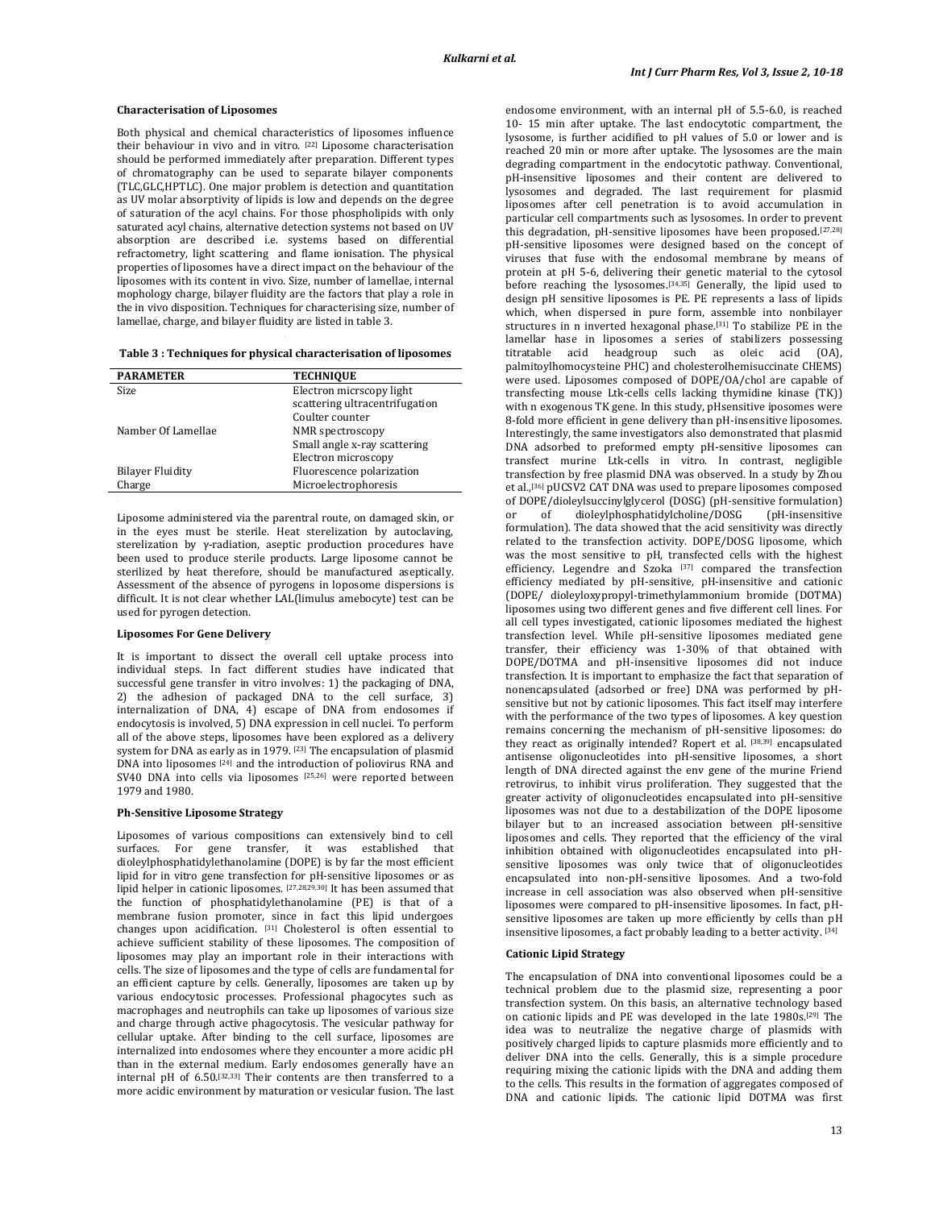#### **Characterisation of Liposomes**

Both physical and chemical characteristics of liposomes influence their behaviour in vivo and in vitro. <sup>[22]</sup> Liposome characterisation should be performed immediately after preparation. Different types of chromatography can be used to separate bilayer components (TLC,GLC,HPTLC). One major problem is detection and quantitation as UV molar absorptivity of lipids is low and depends on the degree of saturation of the acyl chains. For those phospholipids with only saturated acyl chains, alternative detection systems not based on UV absorption are described i.e. systems based on differential refractometry, light scattering and flame ionisation. The physical properties of liposomes have a direct impact on the behaviour of the liposomes with its content in vivo. Size, number of lamellae, internal mophology charge, bilayer fluidity are the factors that play a role in the in vivo disposition. Techniques for characterising size, number of lamellae, charge, and bilayer fluidity are listed in table 3.

|  | Table 3 : Techniques for physical characterisation of liposomes |  |
|--|-----------------------------------------------------------------|--|
|  |                                                                 |  |

| <b>PARAMETER</b>   | <b>TECHNIQUE</b>               |
|--------------------|--------------------------------|
| <b>Size</b>        | Electron micrscopy light       |
|                    | scattering ultracentrifugation |
|                    | Coulter counter                |
| Namber Of Lamellae | NMR spectroscopy               |
|                    | Small angle x-ray scattering   |
|                    | Electron microscopy            |
| Bilayer Fluidity   | Fluorescence polarization      |
| Charge             | Microelectrophoresis           |
|                    |                                |

Liposome administered via the parentral route, on damaged skin, or in the eyes must be sterile. Heat sterelization by autoclaving, sterelization by γ-radiation, aseptic production procedures have been used to produce sterile products. Large liposome cannot be sterilized by heat therefore, should be manufactured aseptically. Assessment of the absence of pyrogens in loposome dispersions is difficult. It is not clear whether LAL(limulus amebocyte) test can be used for pyrogen detection.

## **Liposomes For Gene Delivery**

It is important to dissect the overall cell uptake process into individual steps. In fact different studies have indicated that successful gene transfer in vitro involves: 1) the packaging of DNA, 2) the adhesion of packaged DNA to the cell surface, 3) internalization of DNA, 4) escape of DNA from endosomes if endocytosis is involved, 5) DNA expression in cell nuclei. To perform all of the above steps, liposomes have been explored as a delivery system for DNA as early as in 1979. [23] The encapsulation of plasmid DNA into liposomes [24] and the introduction of poliovirus RNA and SV40 DNA into cells via liposomes [25,26] were reported between 1979 and 1980.

### **PhSensitive Liposome Strategy**

Liposomes of various compositions can extensively bind to cell surfaces. For gene transfer, it was established that dioleylphosphatidylethanolamine (DOPE) is by far the most efficient lipid for in vitro gene transfection for pH‐sensitive liposomes or as lipid helper in cationic liposomes. [27,28,29,30] It has been assumed that the function of phosphatidylethanolamine (PE) is that of a membrane fusion promoter, since in fact this lipid undergoes changes upon acidification. [31] Cholesterol is often essential to achieve sufficient stability of these liposomes. The composition of liposomes may play an important role in their interactions with cells. The size of liposomes and the type of cells are fundamental for an efficient capture by cells. Generally, liposomes are taken up by various endocytosic processes. Professional phagocytes such as macrophages and neutrophils can take up liposomes of various size and charge through active phagocytosis. The vesicular pathway for cellular uptake. After binding to the cell surface, liposomes are internalized into endosomes where they encounter a more acidic pH than in the external medium. Early endosomes generally have an internal pH of 6.50.[32,33] Their contents are then transferred to a more acidic environment by maturation or vesicular fusion. The last

endosome environment, with an internal pH of 5.5-6.0, is reached 10‐ 15 min after uptake. The last endocytotic compartment, the lysosome, is further acidified to pH values of 5.0 or lower and is reached 20 min or more after uptake. The lysosomes are the main degrading compartment in the endocytotic pathway. Conventional, pH-insensitive liposomes and their content are delivered to lysosomes and degraded. The last requirement for plasmid liposomes after cell penetration is to avoid accumulation in particular cell compartments such as lysosomes. In order to prevent this degradation, pH-sensitive liposomes have been proposed.[27,28] pH-sensitive liposomes were designed based on the concept of viruses that fuse with the endosomal membrane by means of protein at pH 5‐6, delivering their genetic material to the cytosol before reaching the lysosomes.[34,35] Generally, the lipid used to design pH sensitive liposomes is PE. PE represents a lass of lipids which, when dispersed in pure form, assemble into nonbilayer structures in n inverted hexagonal phase.<sup>[31]</sup> To stabilize PE in the lamellar hase in liposomes a series of stabilizers possessing titratable acid headgroup such as oleic acid (OA), palmitoylhomocysteine PHC) and cholesterolhemisuccinate CHEMS) were used. Liposomes composed of DOPE/OA/chol are capable of transfecting mouse Ltk-cells cells lacking thymidine kinase (TK)) with n exogenous TK gene. In this study, pHsensitive iposomes were 8-fold more efficient in gene delivery than pH-insensitive liposomes. Interestingly, the same investigators also demonstrated that plasmid DNA adsorbed to preformed empty pH‐sensitive liposomes can transfect murine Ltk‐cells in vitro. In contrast, negligible transfection by free plasmid DNA was observed. In a study by Zhou et al.,[36] pUCSV2 CAT DNA was used to prepare liposomes composed of DOPE/dioleylsuccinylglycerol (DOSG) (pH‐sensitive formulation) or of dioleylphosphatidylcholine/DOSG (pH‐insensitive formulation). The data showed that the acid sensitivity was directly related to the transfection activity. DOPE/DOSG liposome, which was the most sensitive to pH, transfected cells with the highest efficiency. Legendre and Szoka [37] compared the transfection efficiency mediated by pH‐sensitive, pH‐insensitive and cationic (DOPE/ dioleyloxypropyl‐trimethylammonium bromide (DOTMA) liposomes using two different genes and five different cell lines. For all cell types investigated, cationic liposomes mediated the highest transfection level. While pH‐sensitive liposomes mediated gene transfer, their efficiency was 1‐30% of that obtained with DOPE/DOTMA and pH‐insensitive liposomes did not induce transfection. It is important to emphasize the fact that separation of nonencapsulated (adsorbed or free) DNA was performed by pHsensitive but not by cationic liposomes. This fact itself may interfere with the performance of the two types of liposomes. A key question remains concerning the mechanism of pH‐sensitive liposomes: do they react as originally intended? Ropert et al. [38,39] encapsulated antisense oligonucleotides into pH‐sensitive liposomes, a short length of DNA directed against the env gene of the murine Friend retrovirus, to inhibit virus proliferation. They suggested that the greater activity of oligonucleotides encapsulated into pH‐sensitive liposomes was not due to a destabilization of the DOPE liposome bilayer but to an increased association between pH‐sensitive liposomes and cells. They reported that the efficiency of the viral inhibition obtained with oligonucleotides encapsulated into pH‐ sensitive liposomes was only twice that of oligonucleotides encapsulated into non-pH-sensitive liposomes. And a two-fold increase in cell association was also observed when pH‐sensitive liposomes were compared to pH‐insensitive liposomes. In fact, pH‐ sensitive liposomes are taken up more efficiently by cells than pH insensitive liposomes, a fact probably leading to a better activity. [34]

### **Cationic Lipid Strategy**

The encapsulation of DNA into conventional liposomes could be a technical problem due to the plasmid size, representing a poor transfection system. On this basis, an alternative technology based on cationic lipids and PE was developed in the late 1980s.[29] The idea was to neutralize the negative charge of plasmids with positively charged lipids to capture plasmids more efficiently and to deliver DNA into the cells. Generally, this is a simple procedure requiring mixing the cationic lipids with the DNA and adding them to the cells. This results in the formation of aggregates composed of DNA and cationic lipids. The cationic lipid DOTMA was first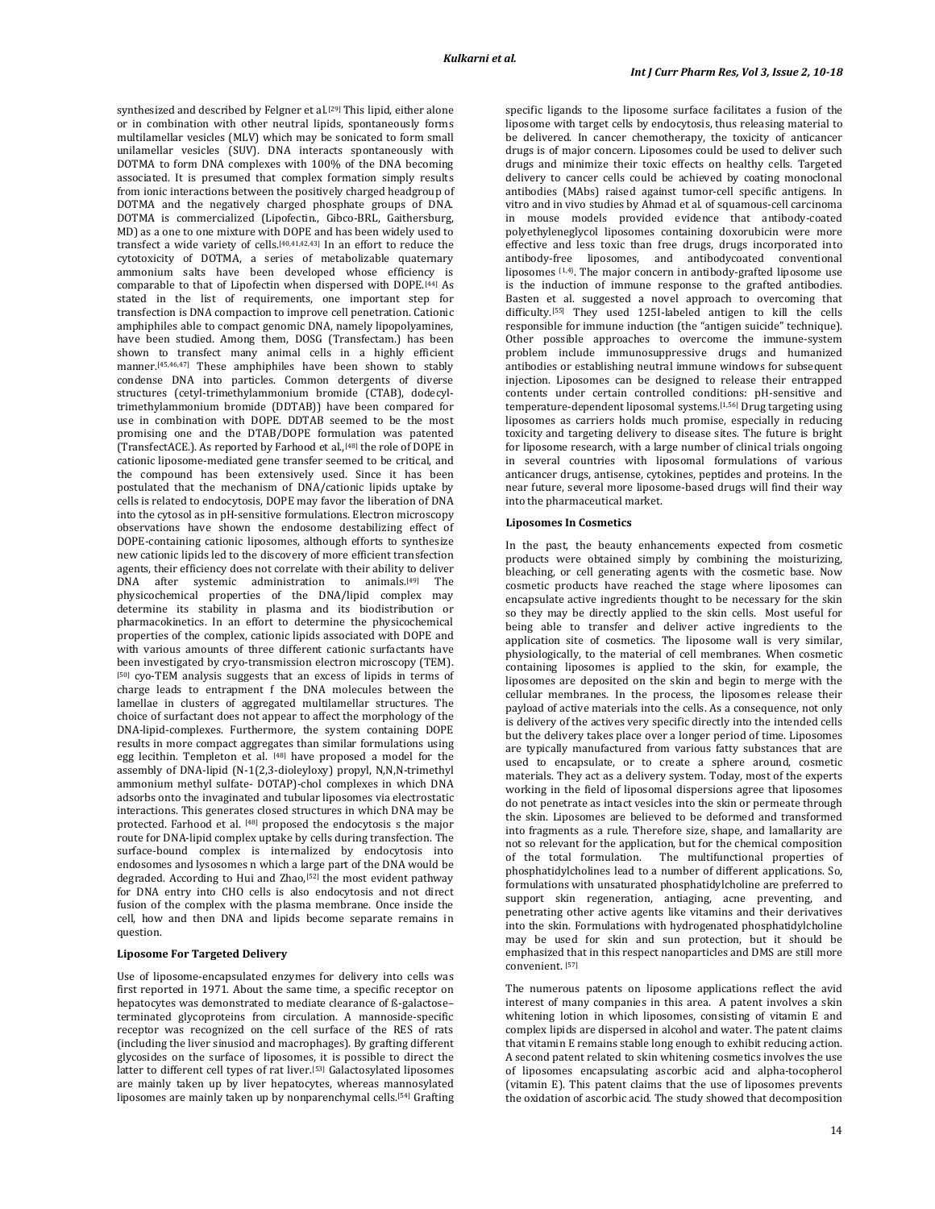synthesized and described by Felgner et al.<sup>[29]</sup> This lipid, either alone or in combination with other neutral lipids, spontaneously forms multilamellar vesicles (MLV) which may be sonicated to form small unilamellar vesicles (SUV). DNA interacts spontaneously with DOTMA to form DNA complexes with 100% of the DNA becoming associated. It is presumed that complex formation simply results from ionic interactions between the positively charged headgroup of DOTMA and the negatively charged phosphate groups of DNA. DOTMA is commercialized (Lipofectin., Gibco‐BRL, Gaithersburg, MD) as a one to one mixture with DOPE and has been widely used to transfect a wide variety of cells.[40,41,42,43] In an effort to reduce the cytotoxicity of DOTMA, a series of metabolizable quaternary ammonium salts have been developed whose efficiency is comparable to that of Lipofectin when dispersed with DOPE.<sup>[44]</sup> As stated in the list of requirements, one important step for transfection is DNA compaction to improve cell penetration. Cationic amphiphiles able to compact genomic DNA, namely lipopolyamines, have been studied. Among them, DOSG (Transfectam.) has been shown to transfect many animal cells in a highly efficient manner.<sup>[45,46,47]</sup> These amphiphiles have been shown to stably condense DNA into particles. Common detergents of diverse structures (cetyl-trimethylammonium bromide (CTAB), dodecyltrimethylammonium bromide (DDTAB)) have been compared for use in combination with DOPE. DDTAB seemed to be the most promising one and the DTAB/DOPE formulation was patented (TransfectACE.). As reported by Farhood et al.,[48] the role of DOPE in cationic liposome‐mediated gene transfer seemed to be critical, and the compound has been extensively used. Since it has been postulated that the mechanism of DNA/cationic lipids uptake by cells is related to endocytosis, DOPE may favor the liberation of DNA into the cytosol as in pH‐sensitive formulations. Electron microscopy observations have shown the endosome destabilizing effect of DOPE‐containing cationic liposomes, although efforts to synthesize new cationic lipids led to the discovery of more efficient transfection agents, their efficiency does not correlate with their ability to deliver DNA after systemic administration to animals.<sup>[49]</sup> The physicochemical properties of the DNA/lipid complex may determine its stability in plasma and its biodistribution or pharmacokinetics. In an effort to determine the physicochemical properties of the complex, cationic lipids associated with DOPE and with various amounts of three different cationic surfactants have been investigated by cryo-transmission electron microscopy (TEM). [50] cyo-TEM analysis suggests that an excess of lipids in terms of charge leads to entrapment f the DNA molecules between the lamellae in clusters of aggregated multilamellar structures. The choice of surfactant does not appear to affect the morphology of the DNA‐lipid‐complexes. Furthermore, the system containing DOPE results in more compact aggregates than similar formulations using egg lecithin. Templeton et al. [48] have proposed a model for the assembly of DNA‐lipid (N‐1(2,3‐dioleyloxy) propyl, N,N,N‐trimethyl ammonium methyl sulfate‐ DOTAP)‐chol complexes in which DNA adsorbs onto the invaginated and tubular liposomes via electrostatic interactions. This generates closed structures in which DNA may be protected. Farhood et al. [48] proposed the endocytosis s the major route for DNA‐lipid complex uptake by cells during transfection. The surface-bound complex is internalized by endocytosis into endosomes and lysosomes n which a large part of the DNA would be degraded. According to Hui and Zhao,<sup>[52]</sup> the most evident pathway for DNA entry into CHO cells is also endocytosis and not direct fusion of the complex with the plasma membrane. Once inside the cell, how and then DNA and lipids become separate remains in question.

### **Liposome For Targeted Delivery**

Use of liposome‐encapsulated enzymes for delivery into cells was first reported in 1971. About the same time, a specific receptor on hepatocytes was demonstrated to mediate clearance of ß‐galactose– terminated glycoproteins from circulation. A mannoside‐specific receptor was recognized on the cell surface of the RES of rats (including the liver sinusiod and macrophages). By grafting different glycosides on the surface of liposomes, it is possible to direct the latter to different cell types of rat liver.[53] Galactosylated liposomes are mainly taken up by liver hepatocytes, whereas mannosylated liposomes are mainly taken up by nonparenchymal cells.[54] Grafting

specific ligands to the liposome surface facilitates a fusion of the liposome with target cells by endocytosis, thus releasing material to be delivered. In cancer chemotherapy, the toxicity of anticancer drugs is of major concern. Liposomes could be used to deliver such drugs and minimize their toxic effects on healthy cells. Targeted delivery to cancer cells could be achieved by coating monoclonal antibodies (MAbs) raised against tumor‐cell specific antigens. In vitro and in vivo studies by Ahmad et al. of squamous‐cell carcinoma in mouse models provided evidence that antibody‐coated polyethyleneglycol liposomes containing doxorubicin were more effective and less toxic than free drugs, drugs incorporated into antibody‐free liposomes, and antibodycoated conventional liposomes  $(1,4)$ . The major concern in antibody-grafted liposome use is the induction of immune response to the grafted antibodies. Basten et al. suggested a novel approach to overcoming that difficulty.[55] They used 125I‐labeled antigen to kill the cells responsible for immune induction (the "antigen suicide" technique). Other possible approaches to overcome the immune-system problem include immunosuppressive drugs and humanized antibodies or establishing neutral immune windows for subsequent injection. Liposomes can be designed to release their entrapped contents under certain controlled conditions: pH‐sensitive and temperature‐dependent liposomal systems.[1,56] Drug targeting using liposomes as carriers holds much promise, especially in reducing toxicity and targeting delivery to disease sites. The future is bright for liposome research, with a large number of clinical trials ongoing in several countries with liposomal formulations of various anticancer drugs, antisense, cytokines, peptides and proteins. In the near future, several more liposome‐based drugs will find their way into the pharmaceutical market.

#### **Liposomes In Cosmetics**

In the past, the beauty enhancements expected from cosmetic products were obtained simply by combining the moisturizing, bleaching, or cell generating agents with the cosmetic base. Now cosmetic products have reached the stage where liposomes can encapsulate active ingredients thought to be necessary for the skin so they may be directly applied to the skin cells. Most useful for being able to transfer and deliver active ingredients to the application site of cosmetics. The liposome wall is very similar, physiologically, to the material of cell membranes. When cosmetic containing liposomes is applied to the skin, for example, the liposomes are deposited on the skin and begin to merge with the cellular membranes. In the process, the liposomes release their payload of active materials into the cells. As a consequence, not only is delivery of the actives very specific directly into the intended cells but the delivery takes place over a longer period of time. Liposomes are typically manufactured from various fatty substances that are used to encapsulate, or to create a sphere around, cosmetic materials. They act as a delivery system. Today, most of the experts working in the field of liposomal dispersions agree that liposomes do not penetrate as intact vesicles into the skin or permeate through the skin. Liposomes are believed to be deformed and transformed into fragments as a rule. Therefore size, shape, and lamallarity are not so relevant for the application, but for the chemical composition of the total formulation. The multifunctional properties of phosphatidylcholines lead to a number of different applications. So, formulations with unsaturated phosphatidylcholine are preferred to support skin regeneration, antiaging, acne preventing, and penetrating other active agents like vitamins and their derivatives into the skin. Formulations with hydrogenated phosphatidylcholine may be used for skin and sun protection, but it should be emphasized that in this respect nanoparticles and DMS are still more convenient. [57]

The numerous patents on liposome applications reflect the avid interest of many companies in this area. A patent involves a skin whitening lotion in which liposomes, consisting of vitamin E and complex lipids are dispersed in alcohol and water. The patent claims that vitamin E remains stable long enough to exhibit reducing action. A second patent related to skin whitening cosmetics involves the use of liposomes encapsulating ascorbic acid and alpha‐tocopherol (vitamin E). This patent claims that the use of liposomes prevents the oxidation of ascorbic acid. The study showed that decomposition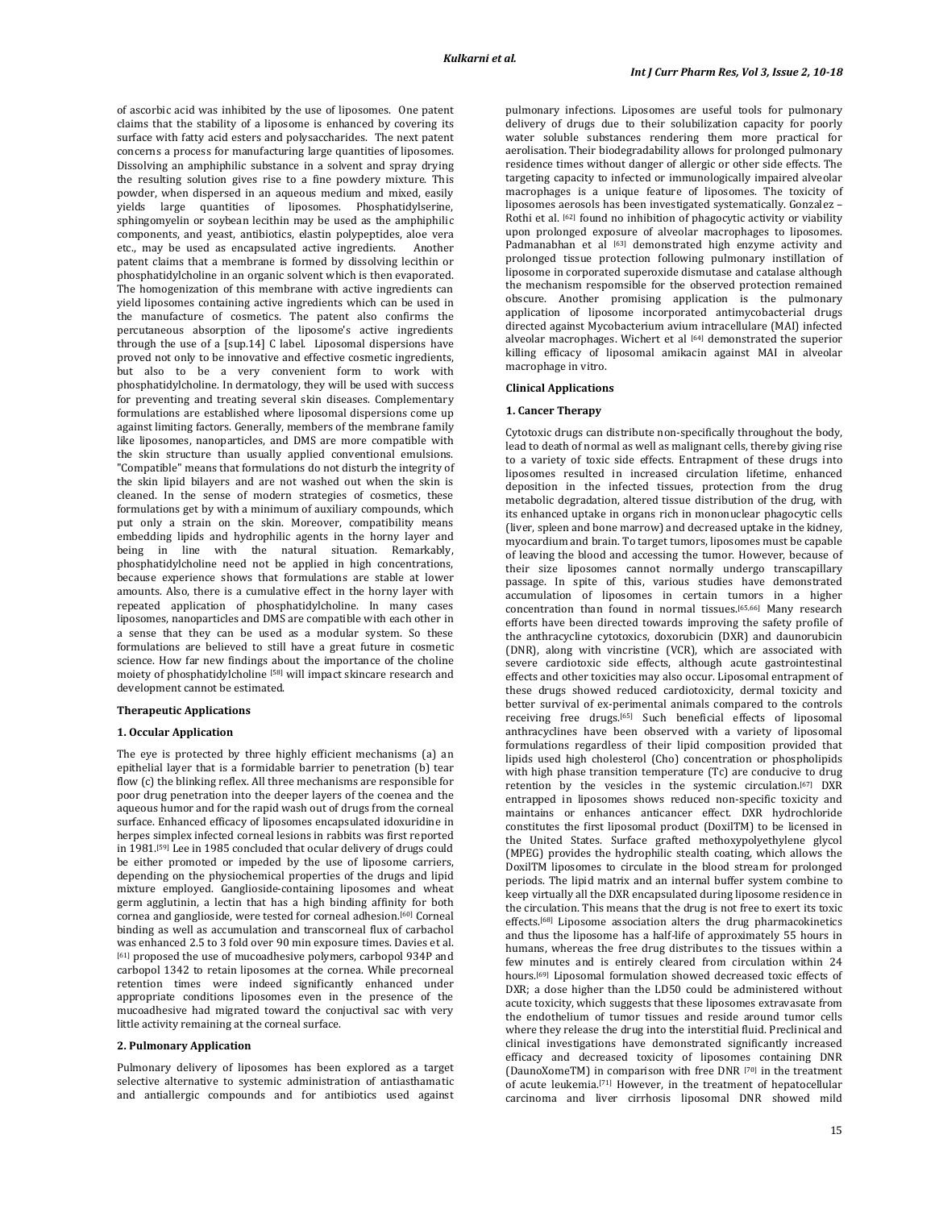of ascorbic acid was inhibited by the use of liposomes. One patent claims that the stability of a liposome is enhanced by covering its surface with fatty acid esters and polysaccharides. The next patent concerns a process for manufacturing large quantities of liposomes. Dissolving an amphiphilic substance in a solvent and spray drying the resulting solution gives rise to a fine powdery mixture. This powder, when dispersed in an aqueous medium and mixed, easily yields large quantities of liposomes. Phosphatidylserine, sphingomyelin or soybean lecithin may be used as the amphiphilic components, and yeast, antibiotics, elastin polypeptides, aloe vera etc., may be used as encapsulated active ingredients. Another patent claims that a membrane is formed by dissolving lecithin or phosphatidylcholine in an organic solvent which is then evaporated. The homogenization of this membrane with active ingredients can yield liposomes containing active ingredients which can be used in the manufacture of cosmetics. The patent also confirms the percutaneous absorption of the liposome's active ingredients through the use of a [sup.14] C label. Liposomal dispersions have proved not only to be innovative and effective cosmetic ingredients, but also to be a very convenient form to work with phosphatidylcholine. In dermatology, they will be used with success for preventing and treating several skin diseases. Complementary formulations are established where liposomal dispersions come up against limiting factors. Generally, members of the membrane family like liposomes, nanoparticles, and DMS are more compatible with the skin structure than usually applied conventional emulsions. "Compatible" means that formulations do not disturb the integrity of the skin lipid bilayers and are not washed out when the skin is cleaned. In the sense of modern strategies of cosmetics, these formulations get by with a minimum of auxiliary compounds, which put only a strain on the skin. Moreover, compatibility means embedding lipids and hydrophilic agents in the horny layer and being in line with the natural situation. Remarkably, phosphatidylcholine need not be applied in high concentrations, because experience shows that formulations are stable at lower amounts. Also, there is a cumulative effect in the horny layer with repeated application of phosphatidylcholine. In many cases liposomes, nanoparticles and DMS are compatible with each other in a sense that they can be used as a modular system. So these formulations are believed to still have a great future in cosmetic science. How far new findings about the importance of the choline moiety of phosphatidylcholine [58] will impact skincare research and development cannot be estimated.

#### **Therapeutic Applications**

#### **1. Occular Application**

The eye is protected by three highly efficient mechanisms (a) an epithelial layer that is a formidable barrier to penetration (b) tear flow (c) the blinking reflex. All three mechanisms are responsible for poor drug penetration into the deeper layers of the coenea and the aqueous humor and for the rapid wash out of drugs from the corneal surface. Enhanced efficacy of liposomes encapsulated idoxuridine in herpes simplex infected corneal lesions in rabbits was first reported in 1981.[59] Lee in 1985 concluded that ocular delivery of drugs could be either promoted or impeded by the use of liposome carriers, depending on the physiochemical properties of the drugs and lipid mixture employed. Ganglioside‐containing liposomes and wheat germ agglutinin, a lectin that has a high binding affinity for both cornea and ganglioside, were tested for corneal adhesion.[60] Corneal binding as well as accumulation and transcorneal flux of carbachol was enhanced 2.5 to 3 fold over 90 min exposure times. Davies et al. [61] proposed the use of mucoadhesive polymers, carbopol 934P and carbopol 1342 to retain liposomes at the cornea. While precorneal retention times were indeed significantly enhanced under appropriate conditions liposomes even in the presence of the mucoadhesive had migrated toward the conjuctival sac with very little activity remaining at the corneal surface.

#### **2. Pulmonary Application**

Pulmonary delivery of liposomes has been explored as a target selective alternative to systemic administration of antiasthamatic and antiallergic compounds and for antibiotics used against

pulmonary infections. Liposomes are useful tools for pulmonary delivery of drugs due to their solubilization capacity for poorly water soluble substances rendering them more practical for aerolisation. Their biodegradability allows for prolonged pulmonary residence times without danger of allergic or other side effects. The targeting capacity to infected or immunologically impaired alveolar macrophages is a unique feature of liposomes. The toxicity of liposomes aerosols has been investigated systematically. Gonzalez – Rothi et al. [62] found no inhibition of phagocytic activity or viability upon prolonged exposure of alveolar macrophages to liposomes. Padmanabhan et al <a>[63]</a> demonstrated high enzyme activity and prolonged tissue protection following pulmonary instillation of liposome in corporated superoxide dismutase and catalase although the mechanism respomsible for the observed protection remained obscure. Another promising application is the pulmonary application of liposome incorporated antimycobacterial drugs directed against Mycobacterium avium intracellulare (MAI) infected alveolar macrophages. Wichert et al [64] demonstrated the superior killing efficacy of liposomal amikacin against MAI in alveolar macrophage in vitro.

#### **Clinical Applications**

#### **1. Cancer Therapy**

Cytotoxic drugs can distribute non‐specifically throughout the body, lead to death of normal as well as malignant cells, thereby giving rise to a variety of toxic side effects. Entrapment of these drugs into liposomes resulted in increased circulation lifetime, enhanced deposition in the infected tissues, protection from the drug metabolic degradation, altered tissue distribution of the drug, with its enhanced uptake in organs rich in mononuclear phagocytic cells (liver, spleen and bone marrow) and decreased uptake in the kidney, myocardium and brain. To target tumors, liposomes must be capable of leaving the blood and accessing the tumor. However, because of their size liposomes cannot normally undergo transcapillary passage. In spite of this, various studies have demonstrated accumulation of liposomes in certain tumors in a higher concentration than found in normal tissues.[65,66] Many research efforts have been directed towards improving the safety profile of the anthracycline cytotoxics, doxorubicin (DXR) and daunorubicin (DNR), along with vincristine (VCR), which are associated with severe cardiotoxic side effects, although acute gastrointestinal effects and other toxicities may also occur. Liposomal entrapment of these drugs showed reduced cardiotoxicity, dermal toxicity and better survival of ex-perimental animals compared to the controls receiving free drugs.[65] Such beneficial effects of liposomal anthracyclines have been observed with a variety of liposomal formulations regardless of their lipid composition provided that lipids used high cholesterol (Cho) concentration or phospholipids with high phase transition temperature (Tc) are conducive to drug retention by the vesicles in the systemic circulation.[67] DXR entrapped in liposomes shows reduced non‐specific toxicity and maintains or enhances anticancer effect. DXR hydrochloride constitutes the first liposomal product (DoxilTM) to be licensed in the United States. Surface grafted methoxypolyethylene glycol (MPEG) provides the hydrophilic stealth coating, which allows the DoxilTM liposomes to circulate in the blood stream for prolonged periods. The lipid matrix and an internal buffer system combine to keep virtually all the DXR encapsulated during liposome residence in the circulation. This means that the drug is not free to exert its toxic effects.<sup>[68]</sup> Liposome association alters the drug pharmacokinetics and thus the liposome has a half‐life of approximately 55 hours in humans, whereas the free drug distributes to the tissues within a few minutes and is entirely cleared from circulation within 24 hours.[69] Liposomal formulation showed decreased toxic effects of DXR; a dose higher than the LD50 could be administered without acute toxicity, which suggests that these liposomes extravasate from the endothelium of tumor tissues and reside around tumor cells where they release the drug into the interstitial fluid. Preclinical and clinical investigations have demonstrated significantly increased efficacy and decreased toxicity of liposomes containing DNR (DaunoXomeTM) in comparison with free DNR [70] in the treatment of acute leukemia.[71] However, in the treatment of hepatocellular carcinoma and liver cirrhosis liposomal DNR showed mild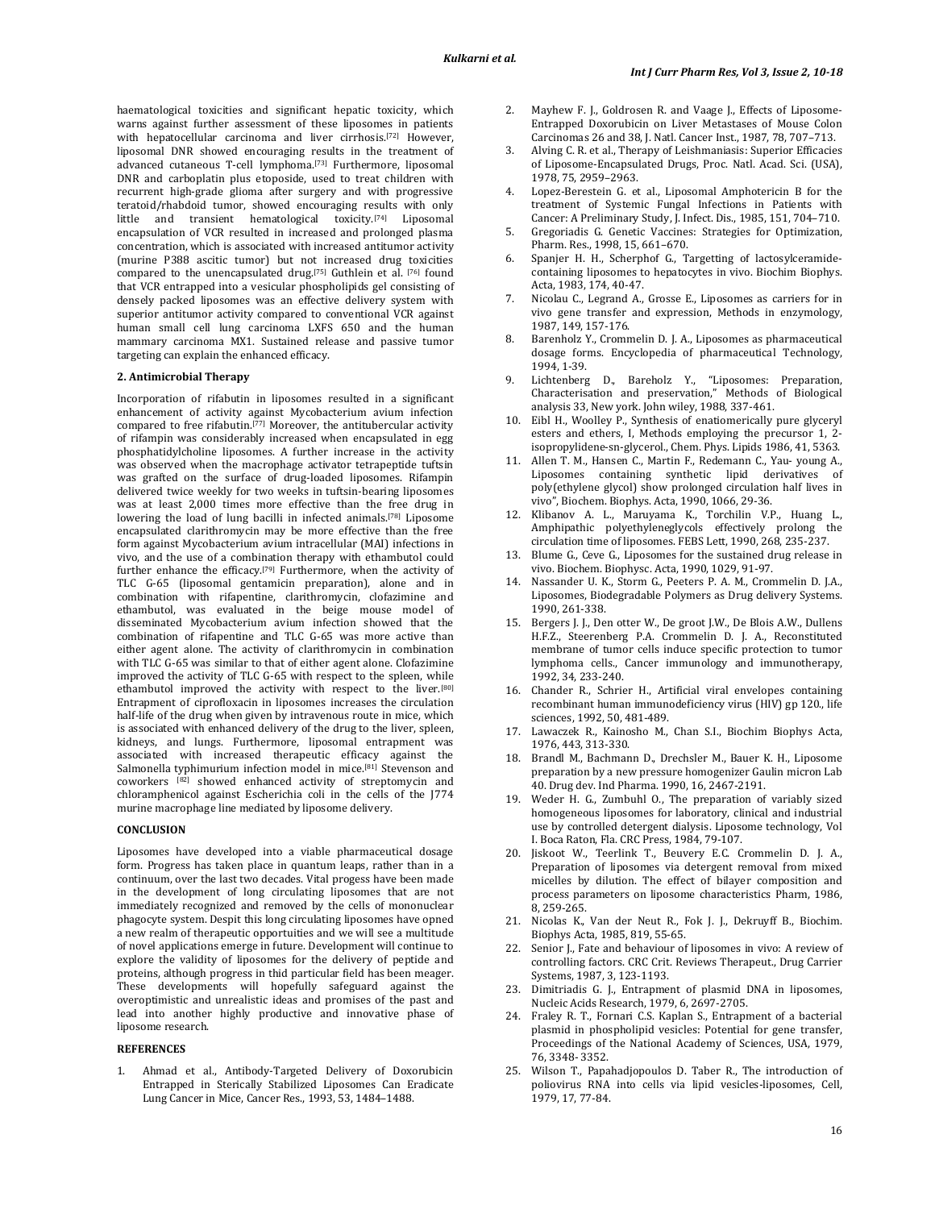haematological toxicities and significant hepatic toxicity, which warns against further assessment of these liposomes in patients with hepatocellular carcinoma and liver cirrhosis.<sup>[72]</sup> However, liposomal DNR showed encouraging results in the treatment of advanced cutaneous T-cell lymphoma.<sup>[73]</sup> Furthermore, liposomal DNR and carboplatin plus etoposide, used to treat children with recurrent high‐grade glioma after surgery and with progressive teratoid/rhabdoid tumor, showed encouraging results with only little and transient hematological toxicity.[74] Liposomal encapsulation of VCR resulted in increased and prolonged plasma concentration, which is associated with increased antitumor activity (murine P388 ascitic tumor) but not increased drug toxicities compared to the unencapsulated drug.[75] Guthlein et al. [76] found that VCR entrapped into a vesicular phospholipids gel consisting of densely packed liposomes was an effective delivery system with superior antitumor activity compared to conventional VCR against human small cell lung carcinoma LXFS 650 and the human mammary carcinoma MX1. Sustained release and passive tumor targeting can explain the enhanced efficacy.

#### **2. Antimicrobial Therapy**

Incorporation of rifabutin in liposomes resulted in a significant enhancement of activity against Mycobacterium avium infection compared to free rifabutin.<sup>[77]</sup> Moreover, the antitubercular activity of rifampin was considerably increased when encapsulated in egg phosphatidylcholine liposomes. A further increase in the activity was observed when the macrophage activator tetrapeptide tuftsin was grafted on the surface of drug‐loaded liposomes. Rifampin delivered twice weekly for two weeks in tuftsin‐bearing liposomes was at least 2,000 times more effective than the free drug in lowering the load of lung bacilli in infected animals.[78] Liposome encapsulated clarithromycin may be more effective than the free form against Mycobacterium avium intracellular (MAI) infections in vivo, and the use of a combination therapy with ethambutol could further enhance the efficacy.<sup>[79]</sup> Furthermore, when the activity of TLC G‐65 (liposomal gentamicin preparation), alone and in combination with rifapentine, clarithromycin, clofazimine and ethambutol, was evaluated in the beige mouse model of disseminated Mycobacterium avium infection showed that the combination of rifapentine and TLC G-65 was more active than either agent alone. The activity of clarithromycin in combination with TLC G-65 was similar to that of either agent alone. Clofazimine improved the activity of TLC G-65 with respect to the spleen, while ethambutol improved the activity with respect to the liver.<sup>[80]</sup> Entrapment of ciprofloxacin in liposomes increases the circulation half-life of the drug when given by intravenous route in mice, which is associated with enhanced delivery of the drug to the liver, spleen, kidneys, and lungs. Furthermore, liposomal entrapment was associated with increased therapeutic efficacy against the Salmonella typhimurium infection model in mice.<sup>[81]</sup> Stevenson and coworkers [82] showed enhanced activity of streptomycin and chloramphenicol against Escherichia coli in the cells of the J774 murine macrophage line mediated by liposome delivery.

#### **CONCLUSION**

Liposomes have developed into a viable pharmaceutical dosage form. Progress has taken place in quantum leaps, rather than in a continuum, over the last two decades. Vital progess have been made in the development of long circulating liposomes that are not immediately recognized and removed by the cells of mononuclear phagocyte system. Despit this long circulating liposomes have opned a new realm of therapeutic opportuities and we will see a multitude of novel applications emerge in future. Development will continue to explore the validity of liposomes for the delivery of peptide and proteins, although progress in thid particular field has been meager. These developments will hopefully safeguard against the overoptimistic and unrealistic ideas and promises of the past and lead into another highly productive and innovative phase of liposome research.

# **REFERENCES**

1. Ahmad et al., Antibody‐Targeted Delivery of Doxorubicin Entrapped in Sterically Stabilized Liposomes Can Eradicate Lung Cancer in Mice, Cancer Res., 1993, 53, 1484–1488.

- 2. Mayhew F. J., Goldrosen R. and Vaage J., Effects of Liposome-Entrapped Doxorubicin on Liver Metastases of Mouse Colon Carcinomas 26 and 38, J. Natl. Cancer Inst., 1987, 78, 707–713.
- 3. Alving C. R. et al., Therapy of Leishmaniasis: Superior Efficacies of Liposome‐Encapsulated Drugs, Proc. Natl. Acad. Sci. (USA), 1978, 75, 2959–2963.
- 4. Lopez‐Berestein G. et al., Liposomal Amphotericin B for the treatment of Systemic Fungal Infections in Patients with Cancer: A Preliminary Study, J. Infect. Dis., 1985, 151, 704–710.
- 5. Gregoriadis G. Genetic Vaccines: Strategies for Optimization, Pharm. Res., 1998, 15, 661–670.
- 6. Spanjer H. H., Scherphof G., Targetting of lactosylceramide‐ containing liposomes to hepatocytes in vivo. Biochim Biophys. Acta, 1983, 174, 40‐47.
- 7. Nicolau C., Legrand A., Grosse E., Liposomes as carriers for in vivo gene transfer and expression, Methods in enzymology, 1987, 149, 157‐176.
- 8. Barenholz Y., Crommelin D. J. A., Liposomes as pharmaceutical dosage forms. Encyclopedia of pharmaceutical Technology, 1994, 1‐39.
- 9. Lichtenberg D., Bareholz Y., "Liposomes: Preparation, Characterisation and preservation," Methods of Biological analysis 33, New york. John wiley, 1988, 337‐461.
- 10. Eibl H., Woolley P., Synthesis of enatiomerically pure glyceryl esters and ethers, I, Methods employing the precursor 1, 2‐ isopropylidene‐sn‐glycerol., Chem. Phys. Lipids 1986, 41, 5363.
- 11. Allen T. M., Hansen C., Martin F., Redemann C., Yau- young A., Liposomes containing synthetic lipid derivatives of poly(ethylene glycol) show prolonged circulation half lives in vivo", Biochem. Biophys. Acta, 1990, 1066, 29‐36.
- 12. Klibanov A. L., Maruyama K., Torchilin V.P., Huang L., Amphipathic polyethyleneglycols effectively prolong the circulation time of liposomes. FEBS Lett, 1990, 268, 235‐237.
- 13. Blume G., Ceve G., Liposomes for the sustained drug release in vivo. Biochem. Biophysc. Acta, 1990, 1029, 91‐97.
- 14. Nassander U. K., Storm G., Peeters P. A. M., Crommelin D. J.A., Liposomes, Biodegradable Polymers as Drug delivery Systems. 1990, 261‐338.
- 15. Bergers J. J., Den otter W., De groot J.W., De Blois A.W., Dullens H.F.Z., Steerenberg P.A. Crommelin D. J. A., Reconstituted membrane of tumor cells induce specific protection to tumor lymphoma cells., Cancer immunology and immunotherapy, 1992, 34, 233‐240.
- 16. Chander R., Schrier H., Artificial viral envelopes containing recombinant human immunodeficiency virus (HIV) gp 120., life sciences, 1992, 50, 481‐489.
- 17. Lawaczek R., Kainosho M., Chan S.I., Biochim Biophys Acta, 1976, 443, 313‐330.
- 18. Brandl M., Bachmann D., Drechsler M., Bauer K. H., Liposome preparation by a new pressure homogenizer Gaulin micron Lab 40. Drug dev. Ind Pharma. 1990, 16, 2467‐2191.
- 19. Weder H. G., Zumbuhl O., The preparation of variably sized homogeneous liposomes for laboratory, clinical and industrial use by controlled detergent dialysis. Liposome technology, Vol I. Boca Raton, Fla. CRC Press, 1984, 79‐107.
- 20. Jiskoot W., Teerlink T., Beuvery E.C. Crommelin D. J. A., Preparation of liposomes via detergent removal from mixed micelles by dilution. The effect of bilayer composition and process parameters on liposome characteristics Pharm, 1986, 8, 259‐265.
- 21. Nicolas K., Van der Neut R., Fok J. J., Dekruyff B., Biochim. Biophys Acta, 1985, 819, 55‐65.
- 22. Senior J., Fate and behaviour of liposomes in vivo: A review of controlling factors. CRC Crit. Reviews Therapeut., Drug Carrier Systems, 1987, 3, 123‐1193.
- 23. Dimitriadis G. J., Entrapment of plasmid DNA in liposomes, Nucleic Acids Research, 1979, 6, 2697‐2705.
- 24. Fraley R. T., Fornari C.S. Kaplan S., Entrapment of a bacterial plasmid in phospholipid vesicles: Potential for gene transfer, Proceedings of the National Academy of Sciences, USA, 1979, 76, 3348‐ 3352.
- 25. Wilson T., Papahadjopoulos D. Taber R., The introduction of poliovirus RNA into cells via lipid vesicles‐liposomes, Cell, 1979, 17, 77‐84.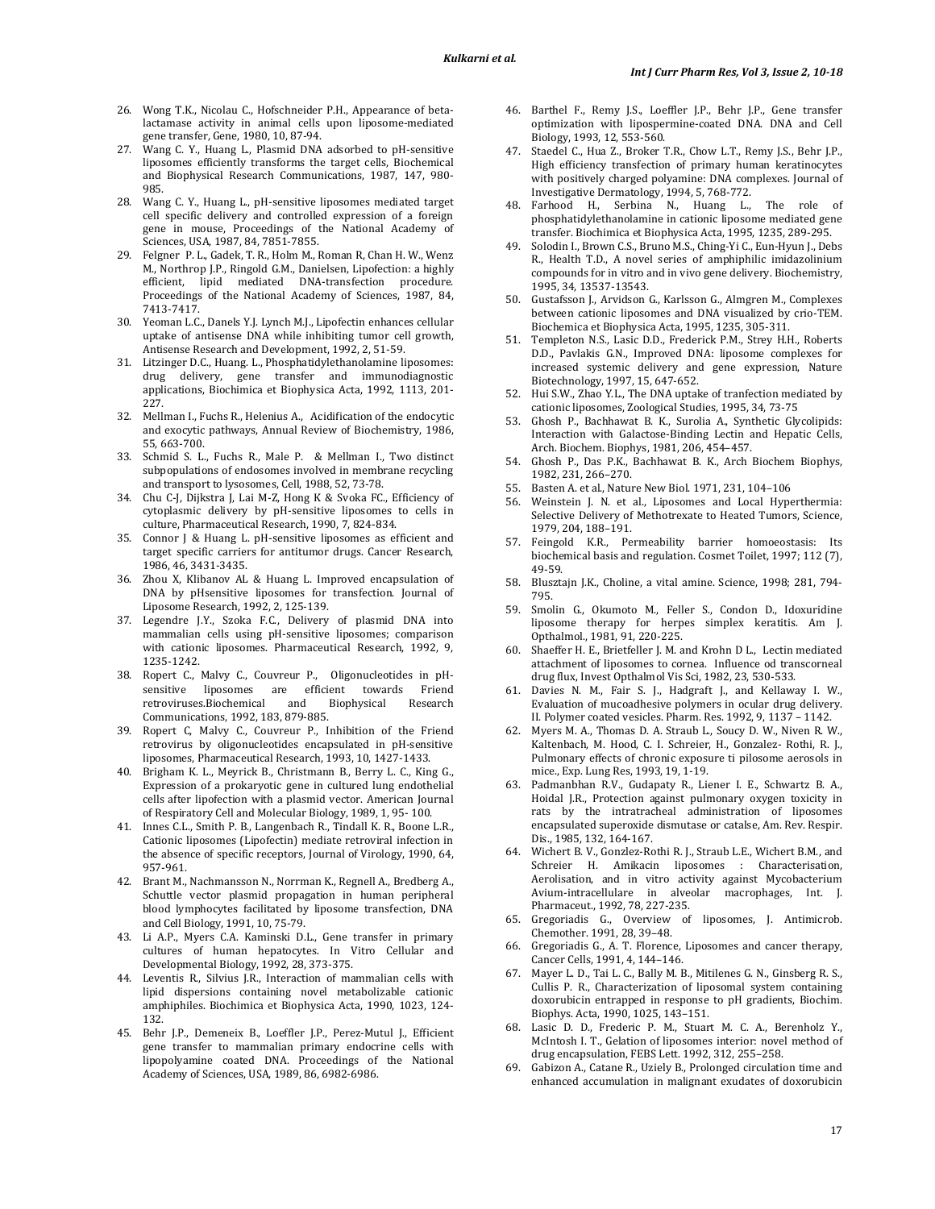- 26. Wong T.K., Nicolau C., Hofschneider P.H., Appearance of betalactamase activity in animal cells upon liposome‐mediated gene transfer, Gene, 1980, 10, 87‐94.
- 27. Wang C. Y., Huang L., Plasmid DNA adsorbed to pH-sensitive liposomes efficiently transforms the target cells, Biochemical and Biophysical Research Communications, 1987, 147, 980‐ 985.
- 28. Wang C. Y., Huang L., pH‐sensitive liposomes mediated target cell specific delivery and controlled expression of a foreign gene in mouse, Proceedings of the National Academy of Sciences, USA, 1987, 84, 7851‐7855.
- 29. Felgner P. L., Gadek, T. R., Holm M., Roman R, Chan H. W., Wenz M., Northrop J.P., Ringold G.M., Danielsen, Lipofection: a highly efficient, lipid mediated DNA‐transfection procedure. Proceedings of the National Academy of Sciences, 1987, 84, 7413‐7417.
- 30. Yeoman L.C., Danels Y.J. Lynch M.J., Lipofectin enhances cellular uptake of antisense DNA while inhibiting tumor cell growth, Antisense Research and Development, 1992, 2, 51‐59.
- Litzinger D.C., Huang. L., Phosphatidylethanolamine liposomes: drug delivery, gene transfer and immunodiagnostic applications, Biochimica et Biophysica Acta, 1992, 1113, 201‐ 227.
- 32. Mellman I., Fuchs R., Helenius A., Acidification of the endocytic and exocytic pathways, Annual Review of Biochemistry, 1986, 55, 663‐700.
- 33. Schmid S. L., Fuchs R., Male P. & Mellman I., Two distinct subpopulations of endosomes involved in membrane recycling and transport to lysosomes, Cell, 1988, 52, 73‐78.
- 34. Chu C-J, Dijkstra J, Lai M-Z, Hong K & Svoka FC., Efficiency of cytoplasmic delivery by pH‐sensitive liposomes to cells in culture, Pharmaceutical Research, 1990, 7, 824‐834.
- 35. Connor J & Huang L. pH-sensitive liposomes as efficient and target specific carriers for antitumor drugs. Cancer Research, 1986, 46, 3431‐3435.
- 36. Zhou X, Klibanov AL & Huang L. Improved encapsulation of DNA by pHsensitive liposomes for transfection. Journal of Liposome Research, 1992, 2, 125‐139.
- 37. Legendre J.Y., Szoka F.C., Delivery of plasmid DNA into mammalian cells using pH‐sensitive liposomes; comparison with cationic liposomes. Pharmaceutical Research, 1992, 9, 1235‐1242.
- 38. Ropert C., Malvy C., Couvreur P., Oligonucleotides in pHsensitive liposomes are efficient towards Friend<br>retroviruses.Biochemical and Biophysical Research retroviruses.Biochemical and Biophysical Research Communications, 1992, 183, 879‐885.
- 39. Ropert C, Malvy C., Couvreur P., Inhibition of the Friend retrovirus by oligonucleotides encapsulated in pH‐sensitive liposomes, Pharmaceutical Research, 1993, 10, 1427‐1433.
- 40. Brigham K. L., Meyrick B., Christmann B., Berry L. C., King G., Expression of a prokaryotic gene in cultured lung endothelial cells after lipofection with a plasmid vector. American Journal of Respiratory Cell and Molecular Biology, 1989, 1, 95‐ 100.
- 41. Innes C.L., Smith P. B., Langenbach R., Tindall K. R., Boone L.R., Cationic liposomes (Lipofectin) mediate retroviral infection in the absence of specific receptors, Journal of Virology, 1990, 64, 957‐961.
- Brant M., Nachmansson N., Norrman K., Regnell A., Bredberg A., Schuttle vector plasmid propagation in human peripheral blood lymphocytes facilitated by liposome transfection, DNA and Cell Biology, 1991, 10, 75‐79.
- 43. Li A.P., Myers C.A. Kaminski D.L., Gene transfer in primary cultures of human hepatocytes. In Vitro Cellular and Developmental Biology, 1992, 28, 373‐375.
- 44. Leventis R., Silvius J.R., Interaction of mammalian cells with lipid dispersions containing novel metabolizable cationic amphiphiles. Biochimica et Biophysica Acta, 1990, 1023, 124‐ 132.
- 45. Behr J.P., Demeneix B., Loeffler J.P., Perez‐Mutul J., Efficient gene transfer to mammalian primary endocrine cells with lipopolyamine coated DNA. Proceedings of the National Academy of Sciences, USA, 1989, 86, 6982‐6986.
- 46. Barthel F., Remy J.S., Loeffler J.P., Behr J.P., Gene transfer optimization with lipospermine‐coated DNA. DNA and Cell Biology, 1993, 12, 553‐560.
- 47. Staedel C., Hua Z., Broker T.R., Chow L.T., Remy J.S., Behr J.P., High efficiency transfection of primary human keratinocytes with positively charged polyamine: DNA complexes. Journal of Investigative Dermatology, 1994, 5, 768‐772.
- 48. Farhood H., Serbina N., Huang L., The role of phosphatidylethanolamine in cationic liposome mediated gene transfer. Biochimica et Biophysica Acta, 1995, 1235, 289‐295.
- 49. Solodin I., Brown C.S., Bruno M.S., Ching‐Yi C., Eun‐Hyun J., Debs R., Health T.D., A novel series of amphiphilic imidazolinium compounds for in vitro and in vivo gene delivery. Biochemistry, 1995, 34, 13537‐13543.
- 50. Gustafsson J., Arvidson G., Karlsson G., Almgren M., Complexes between cationic liposomes and DNA visualized by crio‐TEM. Biochemica et Biophysica Acta, 1995, 1235, 305‐311.
- 51. Templeton N.S., Lasic D.D., Frederick P.M., Strey H.H., Roberts D.D., Pavlakis G.N., Improved DNA: liposome complexes for increased systemic delivery and gene expression, Nature Biotechnology, 1997, 15, 647‐652.
- 52. Hui S.W., Zhao Y.L., The DNA uptake of tranfection mediated by cationic liposomes, Zoological Studies, 1995, 34, 73‐75
- 53. Ghosh P., Bachhawat B. K., Surolia A., Synthetic Glycolipids: Interaction with Galactose‐Binding Lectin and Hepatic Cells, Arch. Biochem. Biophys, 1981, 206, 454–457.
- 54. Ghosh P., Das P.K., Bachhawat B. K., Arch Biochem Biophys, 1982, 231, 266–270.
- 55. Basten A. et al., Nature New Biol. 1971, 231, 104–106
- 56. Weinstein J. N. et al., Liposomes and Local Hyperthermia: Selective Delivery of Methotrexate to Heated Tumors, Science, 1979, 204, 188–191.
- 57. Feingold K.R., Permeability barrier homoeostasis: Its biochemical basis and regulation. Cosmet Toilet, 1997; 112 (7), 49‐59.
- 58. Blusztajn J.K., Choline, a vital amine. Science, 1998; 281, 794‐ 795.
- 59. Smolin G., Okumoto M., Feller S., Condon D., Idoxuridine liposome therapy for herpes simplex keratitis. Am J. Opthalmol., 1981, 91, 220‐225.
- 60. Shaeffer H. E., Brietfeller J. M. and Krohn D L., Lectin mediated attachment of liposomes to cornea. Influence od transcorneal drug flux, Invest Opthalmol Vis Sci, 1982, 23, 530‐533.
- Davies N. M., Fair S. J., Hadgraft J., and Kellaway I. W., Evaluation of mucoadhesive polymers in ocular drug delivery. II. Polymer coated vesicles. Pharm. Res. 1992, 9, 1137 – 1142.
- 62. Myers M. A., Thomas D. A. Straub L., Soucy D. W., Niven R. W., Kaltenbach, M. Hood, C. I. Schreier, H., Gonzalez‐ Rothi, R. J., Pulmonary effects of chronic exposure ti pilosome aerosols in mice., Exp. Lung Res, 1993, 19, 1‐19.
- Padmanbhan R.V., Gudapaty R., Liener I. E., Schwartz B. A., Hoidal J.R., Protection against pulmonary oxygen toxicity in rats by the intratracheal administration of liposomes encapsulated superoxide dismutase or catalse, Am. Rev. Respir. Dis., 1985, 132, 164‐167.
- 64. Wichert B. V., Gonzlez‐Rothi R. J., Straub L.E., Wichert B.M., and Schreier H. Amikacin liposomes : Characterisation, Aerolisation, and in vitro activity against Mycobacterium Avium‐intracellulare in alveolar macrophages, Int. J. Pharmaceut., 1992, 78, 227‐235.
- 65. Gregoriadis G., Overview of liposomes, J. Antimicrob. Chemother. 1991, 28, 39–48.
- 66. Gregoriadis G., A. T. Florence, Liposomes and cancer therapy, Cancer Cells, 1991, 4, 144–146.
- 67. Mayer L. D., Tai L. C., Bally M. B., Mitilenes G. N., Ginsberg R. S., Cullis P. R., Characterization of liposomal system containing doxorubicin entrapped in response to pH gradients, Biochim. Biophys. Acta, 1990, 1025, 143–151.
- 68. Lasic D. D., Frederic P. M., Stuart M. C. A., Berenholz Y., McIntosh I. T., Gelation of liposomes interior: novel method of drug encapsulation, FEBS Lett. 1992, 312, 255–258.
- Gabizon A., Catane R., Uziely B., Prolonged circulation time and enhanced accumulation in malignant exudates of doxorubicin